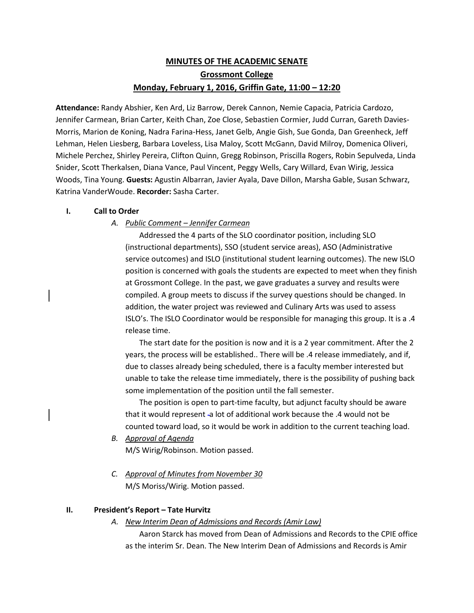# **MINUTES OF THE ACADEMIC SENATE Grossmont College Monday, February 1, 2016, Griffin Gate, 11:00 – 12:20**

**Attendance:** Randy Abshier, Ken Ard, Liz Barrow, Derek Cannon, Nemie Capacia, Patricia Cardozo, Jennifer Carmean, Brian Carter, Keith Chan, Zoe Close, Sebastien Cormier, Judd Curran, Gareth Davies-Morris, Marion de Koning, Nadra Farina-Hess, Janet Gelb, Angie Gish, Sue Gonda, Dan Greenheck, Jeff Lehman, Helen Liesberg, Barbara Loveless, Lisa Maloy, Scott McGann, David Milroy, Domenica Oliveri, Michele Perchez, Shirley Pereira, Clifton Quinn, Gregg Robinson, Priscilla Rogers, Robin Sepulveda, Linda Snider, Scott Therkalsen, Diana Vance, Paul Vincent, Peggy Wells, Cary Willard, Evan Wirig, Jessica Woods, Tina Young. **Guests:** Agustin Albarran, Javier Ayala, Dave Dillon, Marsha Gable, Susan Schwarz, Katrina VanderWoude. **Recorder:** Sasha Carter.

### **I. Call to Order**

# *A. Public Comment – Jennifer Carmean*

Addressed the 4 parts of the SLO coordinator position, including SLO (instructional departments), SSO (student service areas), ASO (Administrative service outcomes) and ISLO (institutional student learning outcomes). The new ISLO position is concerned with goals the students are expected to meet when they finish at Grossmont College. In the past, we gave graduates a survey and results were compiled. A group meets to discuss if the survey questions should be changed. In addition, the water project was reviewed and Culinary Arts was used to assess ISLO's. The ISLO Coordinator would be responsible for managing this group. It is a .4 release time.

The start date for the position is now and it is a 2 year commitment. After the 2 years, the process will be established.. There will be .4 release immediately, and if, due to classes already being scheduled, there is a faculty member interested but unable to take the release time immediately, there is the possibility of pushing back some implementation of the position until the fall semester.

The position is open to part-time faculty, but adjunct faculty should be aware that it would represent -a lot of additional work because the .4 would not be counted toward load, so it would be work in addition to the current teaching load.

*B. Approval of Agenda*

M/S Wirig/Robinson. Motion passed.

*C. Approval of Minutes from November 30* M/S Moriss/Wirig. Motion passed.

# **II. President's Report – Tate Hurvitz**

# *A. New Interim Dean of Admissions and Records (Amir Law)*

Aaron Starck has moved from Dean of Admissions and Records to the CPIE office as the interim Sr. Dean. The New Interim Dean of Admissions and Records is Amir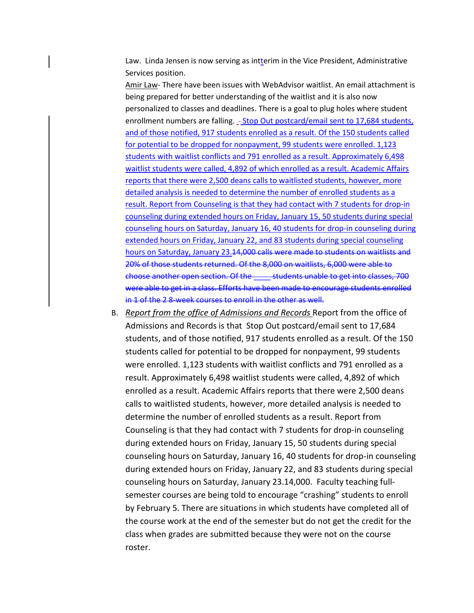Law. Linda Jensen is now serving as intterim in the Vice President, Administrative Services position.

Amir Law- There have been issues with WebAdvisor waitlist. An email attachment is being prepared for better understanding of the waitlist and it is also now personalized to classes and deadlines. There is a goal to plug holes where student enrollment numbers are falling. - Stop Out postcard/email sent to 17,684 students, and of those notified, 917 students enrolled as a result. Of the 150 students called for potential to be dropped for nonpayment, 99 students were enrolled. 1,123 students with waitlist conflicts and 791 enrolled as a result. Approximately 6,498 waitlist students were called, 4,892 of which enrolled as a result. Academic Affairs reports that there were 2,500 deans calls to waitlisted students, however, more detailed analysis is needed to determine the number of enrolled students as a result. Report from Counseling is that they had contact with 7 students for drop-in counseling during extended hours on Friday, January 15, 50 students during special counseling hours on Saturday, January 16, 40 students for drop-in counseling during extended hours on Friday, January 22, and 83 students during special counseling hours on Saturday, January 23.14,000 calls were made to students on waitlists and 20% of those students returned. Of the 8,000 on waitlists, 6,000 were able to choose another open section. Of the \_\_\_\_ students unable to get into classes, 700 were able to get in a class. Efforts have been made to encourage students enrolled in 1 of the 2 8-week courses to enroll in the other as well.

B. *Report from the office of Admissions and Records* Report from the office of Admissions and Records is that Stop Out postcard/email sent to 17,684 students, and of those notified, 917 students enrolled as a result. Of the 150 students called for potential to be dropped for nonpayment, 99 students were enrolled. 1,123 students with waitlist conflicts and 791 enrolled as a result. Approximately 6,498 waitlist students were called, 4,892 of which enrolled as a result. Academic Affairs reports that there were 2,500 deans calls to waitlisted students, however, more detailed analysis is needed to determine the number of enrolled students as a result. Report from Counseling is that they had contact with 7 students for drop-in counseling during extended hours on Friday, January 15, 50 students during special counseling hours on Saturday, January 16, 40 students for drop-in counseling during extended hours on Friday, January 22, and 83 students during special counseling hours on Saturday, January 23.14,000. Faculty teaching fullsemester courses are being told to encourage "crashing" students to enroll by February 5. There are situations in which students have completed all of the course work at the end of the semester but do not get the credit for the class when grades are submitted because they were not on the course roster.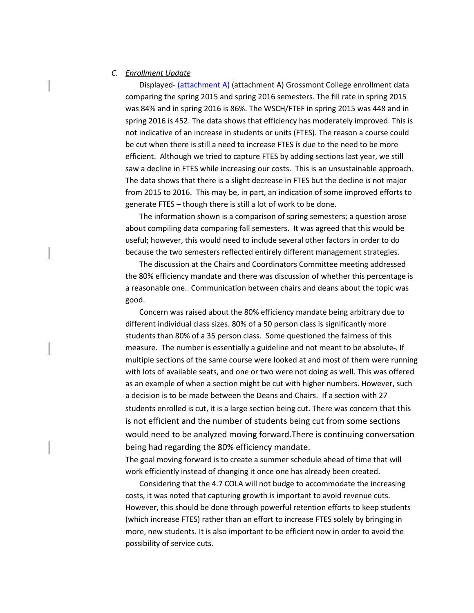### *C. Enrollment Update*

Displayed- (attachment A) (attachment A) Grossmont College enrollment data comparing the spring 2015 and spring 2016 semesters. The fill rate in spring 2015 was 84% and in spring 2016 is 86%. The WSCH/FTEF in spring 2015 was 448 and in spring 2016 is 452. The data shows that efficiency has moderately improved. This is not indicative of an increase in students or units (FTES). The reason a course could be cut when there is still a need to increase FTES is due to the need to be more efficient. Although we tried to capture FTES by adding sections last year, we still saw a decline in FTES while increasing our costs. This is an unsustainable approach. The data shows that there is a slight decrease in FTES but the decline is not major from 2015 to 2016. This may be, in part, an indication of some improved efforts to generate FTES – though there is still a lot of work to be done.

The information shown is a comparison of spring semesters; a question arose about compiling data comparing fall semesters. It was agreed that this would be useful; however, this would need to include several other factors in order to do because the two semesters reflected entirely different management strategies.

The discussion at the Chairs and Coordinators Committee meeting addressed the 80% efficiency mandate and there was discussion of whether this percentage is a reasonable one.. Communication between chairs and deans about the topic was good.

Concern was raised about the 80% efficiency mandate being arbitrary due to different individual class sizes. 80% of a 50 person class is significantly more students than 80% of a 35 person class. Some questioned the fairness of this measure. The number is essentially a guideline and not meant to be absolute . If multiple sections of the same course were looked at and most of them were running with lots of available seats, and one or two were not doing as well. This was offered as an example of when a section might be cut with higher numbers. However, such a decision is to be made between the Deans and Chairs. If a section with 27 students enrolled is cut, it is a large section being cut. There was concern that this is not efficient and the number of students being cut from some sections would need to be analyzed moving forward.There is continuing conversation being had regarding the 80% efficiency mandate.

The goal moving forward is to create a summer schedule ahead of time that will work efficiently instead of changing it once one has already been created.

Considering that the 4.7 COLA will not budge to accommodate the increasing costs, it was noted that capturing growth is important to avoid revenue cuts. However, this should be done through powerful retention efforts to keep students (which increase FTES) rather than an effort to increase FTES solely by bringing in more, new students. It is also important to be efficient now in order to avoid the possibility of service cuts.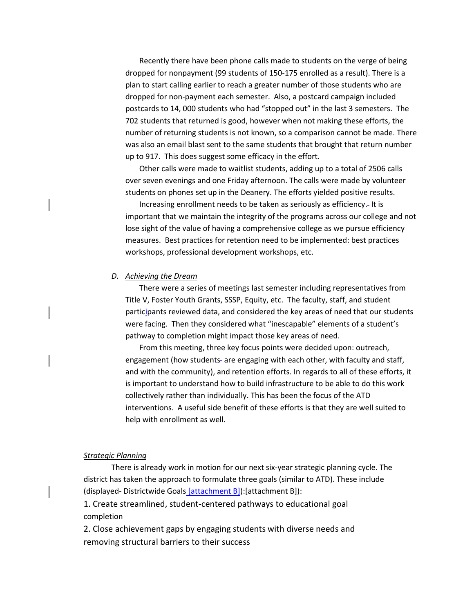Recently there have been phone calls made to students on the verge of being dropped for nonpayment (99 students of 150-175 enrolled as a result). There is a plan to start calling earlier to reach a greater number of those students who are dropped for non-payment each semester. Also, a postcard campaign included postcards to 14, 000 students who had "stopped out" in the last 3 semesters. The 702 students that returned is good, however when not making these efforts, the number of returning students is not known, so a comparison cannot be made. There was also an email blast sent to the same students that brought that return number up to 917. This does suggest some efficacy in the effort.

Other calls were made to waitlist students, adding up to a total of 2506 calls over seven evenings and one Friday afternoon. The calls were made by volunteer students on phones set up in the Deanery. The efforts yielded positive results.

Increasing enrollment needs to be taken as seriously as efficiency. It is important that we maintain the integrity of the programs across our college and not lose sight of the value of having a comprehensive college as we pursue efficiency measures. Best practices for retention need to be implemented: best practices workshops, professional development workshops, etc.

#### *D. Achieving the Dream*

There were a series of meetings last semester including representatives from Title V, Foster Youth Grants, SSSP, Equity, etc. The faculty, staff, and student participants reviewed data, and considered the key areas of need that our students were facing. Then they considered what "inescapable" elements of a student's pathway to completion might impact those key areas of need.

From this meeting, three key focus points were decided upon: outreach, engagement (how students- are engaging with each other, with faculty and staff, and with the community), and retention efforts. In regards to all of these efforts, it is important to understand how to build infrastructure to be able to do this work collectively rather than individually. This has been the focus of the ATD interventions. A useful side benefit of these efforts is that they are well suited to help with enrollment as well.

#### *Strategic Planning*

There is already work in motion for our next six-year strategic planning cycle. The district has taken the approach to formulate three goals (similar to ATD). These include (displayed- Districtwide Goals [attachment B]):[attachment B]):

1. Create streamlined, student-centered pathways to educational goal completion

2. Close achievement gaps by engaging students with diverse needs and removing structural barriers to their success